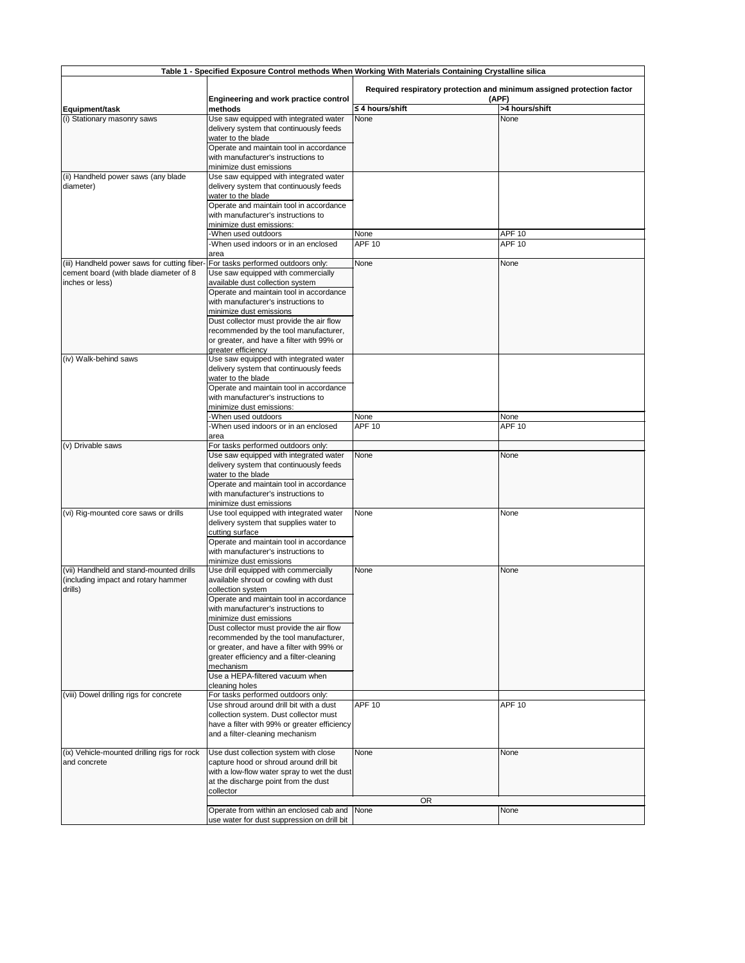| Table 1 - Specified Exposure Control methods When Working With Materials Containing Crystalline silica   |                                                                                                                                                                                                                                                                                                                                                                                                                                                                 |                                                                                 |                       |
|----------------------------------------------------------------------------------------------------------|-----------------------------------------------------------------------------------------------------------------------------------------------------------------------------------------------------------------------------------------------------------------------------------------------------------------------------------------------------------------------------------------------------------------------------------------------------------------|---------------------------------------------------------------------------------|-----------------------|
|                                                                                                          | <b>Engineering and work practice control</b>                                                                                                                                                                                                                                                                                                                                                                                                                    | Required respiratory protection and minimum assigned protection factor<br>(APF) |                       |
| Equipment/task                                                                                           | methods                                                                                                                                                                                                                                                                                                                                                                                                                                                         | $\leq$ 4 hours/shift                                                            | >4 hours/shift        |
| (i) Stationary masonry saws                                                                              | Use saw equipped with integrated water<br>delivery system that continuously feeds<br>water to the blade<br>Operate and maintain tool in accordance<br>with manufacturer's instructions to                                                                                                                                                                                                                                                                       | None                                                                            | None                  |
| (ii) Handheld power saws (any blade<br>diameter)                                                         | minimize dust emissions<br>Use saw equipped with integrated water<br>delivery system that continuously feeds<br>water to the blade<br>Operate and maintain tool in accordance<br>with manufacturer's instructions to                                                                                                                                                                                                                                            |                                                                                 |                       |
|                                                                                                          | minimize dust emissions:<br>When used outdoors                                                                                                                                                                                                                                                                                                                                                                                                                  | None                                                                            | <b>APF 10</b>         |
|                                                                                                          | When used indoors or in an enclosed<br>area                                                                                                                                                                                                                                                                                                                                                                                                                     | <b>APF 10</b>                                                                   | <b>APF 10</b>         |
| (iii) Handheld power saws for cutting fiber<br>cement board (with blade diameter of 8<br>inches or less) | For tasks performed outdoors only:<br>Use saw equipped with commercially<br>available dust collection system<br>Operate and maintain tool in accordance<br>with manufacturer's instructions to<br>minimize dust emissions<br>Dust collector must provide the air flow<br>recommended by the tool manufacturer,<br>or greater, and have a filter with 99% or                                                                                                     | None                                                                            | None                  |
| (iv) Walk-behind saws                                                                                    | greater efficiency<br>Use saw equipped with integrated water<br>delivery system that continuously feeds<br>water to the blade<br>Operate and maintain tool in accordance<br>with manufacturer's instructions to<br>minimize dust emissions:                                                                                                                                                                                                                     |                                                                                 |                       |
|                                                                                                          | When used outdoors<br>-When used indoors or in an enclosed                                                                                                                                                                                                                                                                                                                                                                                                      | None<br><b>APF 10</b>                                                           | None<br><b>APF 10</b> |
|                                                                                                          | area                                                                                                                                                                                                                                                                                                                                                                                                                                                            |                                                                                 |                       |
| (v) Drivable saws                                                                                        | For tasks performed outdoors only:<br>Use saw equipped with integrated water<br>delivery system that continuously feeds<br>water to the blade<br>Operate and maintain tool in accordance<br>with manufacturer's instructions to                                                                                                                                                                                                                                 | None                                                                            | None                  |
| (vi) Rig-mounted core saws or drills                                                                     | minimize dust emissions<br>Use tool equipped with integrated water<br>delivery system that supplies water to<br>cutting surface<br>Operate and maintain tool in accordance<br>with manufacturer's instructions to<br>minimize dust emissions                                                                                                                                                                                                                    | None                                                                            | None                  |
| (vii) Handheld and stand-mounted drills<br>(including impact and rotary hammer<br>drills)                | Use drill equipped with commercially<br>available shroud or cowling with dust<br>collection system<br>Operate and maintain tool in accordance<br>with manufacturer's instructions to<br>minimize dust emissions<br>Dust collector must provide the air flow<br>recommended by the tool manufacturer,<br>or greater, and have a filter with 99% or<br>greater efficiency and a filter-cleaning<br>mechanism<br>Use a HEPA-filtered vacuum when<br>cleaning holes | None                                                                            | None                  |
| (viii) Dowel drilling rigs for concrete                                                                  | For tasks performed outdoors only:<br>Use shroud around drill bit with a dust<br>collection system. Dust collector must<br>have a filter with 99% or greater efficiency<br>and a filter-cleaning mechanism                                                                                                                                                                                                                                                      | <b>APF 10</b>                                                                   | <b>APF 10</b>         |
| (ix) Vehicle-mounted drilling rigs for rock<br>and concrete                                              | Use dust collection system with close<br>capture hood or shroud around drill bit<br>with a low-flow water spray to wet the dust<br>at the discharge point from the dust<br>collector                                                                                                                                                                                                                                                                            | None                                                                            | None                  |
|                                                                                                          | Operate from within an enclosed cab and                                                                                                                                                                                                                                                                                                                                                                                                                         | <b>OR</b><br>None                                                               | None                  |
|                                                                                                          | use water for dust suppression on drill bit                                                                                                                                                                                                                                                                                                                                                                                                                     |                                                                                 |                       |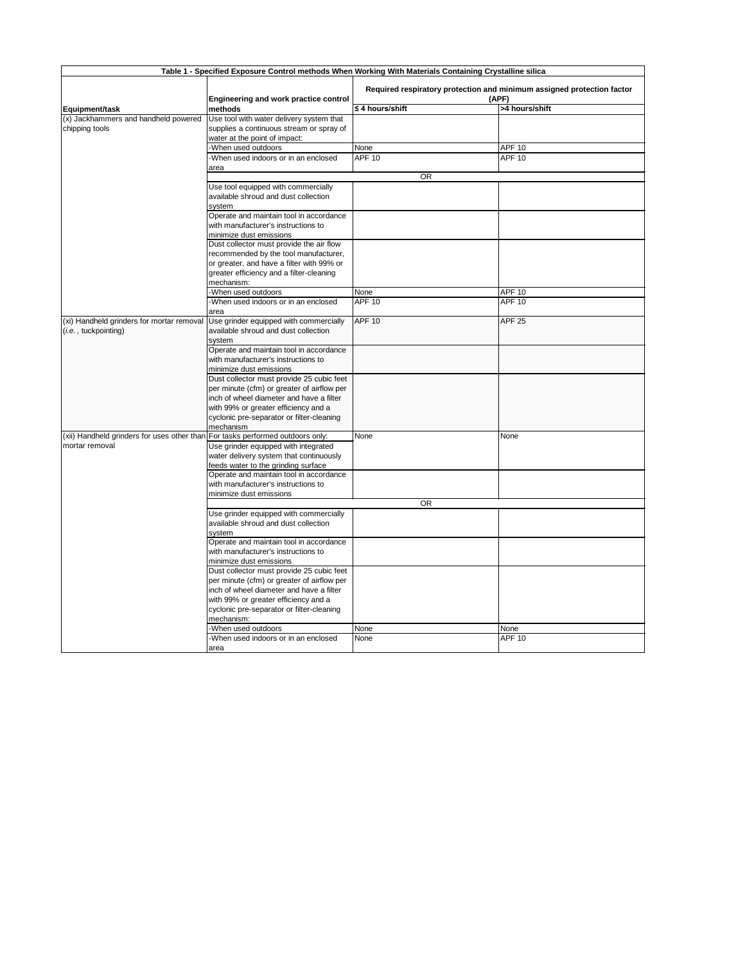| Table 1 - Specified Exposure Control methods When Working With Materials Containing Crystalline silica |                                                |                                                                                 |                |
|--------------------------------------------------------------------------------------------------------|------------------------------------------------|---------------------------------------------------------------------------------|----------------|
|                                                                                                        | <b>Engineering and work practice control</b>   | Required respiratory protection and minimum assigned protection factor<br>(APF) |                |
| Equipment/task                                                                                         | methods                                        | $\leq$ 4 hours/shift                                                            | >4 hours/shift |
| $(x)$ Jackhammers and handheld powered                                                                 | Use tool with water delivery system that       |                                                                                 |                |
| chipping tools                                                                                         | supplies a continuous stream or spray of       |                                                                                 |                |
|                                                                                                        | water at the point of impact:                  |                                                                                 |                |
|                                                                                                        | -When used outdoors                            | None                                                                            | <b>APF 10</b>  |
|                                                                                                        | When used indoors or in an enclosed            | <b>APF 10</b>                                                                   | <b>APF 10</b>  |
|                                                                                                        | area                                           |                                                                                 |                |
|                                                                                                        | <b>OR</b>                                      |                                                                                 |                |
|                                                                                                        | Use tool equipped with commercially            |                                                                                 |                |
|                                                                                                        | available shroud and dust collection<br>system |                                                                                 |                |
|                                                                                                        | Operate and maintain tool in accordance        |                                                                                 |                |
|                                                                                                        | with manufacturer's instructions to            |                                                                                 |                |
|                                                                                                        | minimize dust emissions                        |                                                                                 |                |
|                                                                                                        | Dust collector must provide the air flow       |                                                                                 |                |
|                                                                                                        | recommended by the tool manufacturer,          |                                                                                 |                |
|                                                                                                        | or greater, and have a filter with 99% or      |                                                                                 |                |
|                                                                                                        | greater efficiency and a filter-cleaning       |                                                                                 |                |
|                                                                                                        | mechanism:                                     |                                                                                 |                |
|                                                                                                        | When used outdoors                             | None                                                                            | <b>APF 10</b>  |
|                                                                                                        | When used indoors or in an enclosed            | <b>APF 10</b>                                                                   | <b>APF 10</b>  |
|                                                                                                        | larea                                          |                                                                                 |                |
| (xi) Handheld grinders for mortar removal                                                              | Use grinder equipped with commercially         | <b>APF 10</b>                                                                   | <b>APF 25</b>  |
| (i.e., tuckpointing)                                                                                   | available shroud and dust collection           |                                                                                 |                |
|                                                                                                        | system                                         |                                                                                 |                |
|                                                                                                        | Operate and maintain tool in accordance        |                                                                                 |                |
|                                                                                                        | with manufacturer's instructions to            |                                                                                 |                |
|                                                                                                        | minimize dust emissions                        |                                                                                 |                |
|                                                                                                        | Dust collector must provide 25 cubic feet      |                                                                                 |                |
|                                                                                                        | per minute (cfm) or greater of airflow per     |                                                                                 |                |
|                                                                                                        | inch of wheel diameter and have a filter       |                                                                                 |                |
|                                                                                                        | with 99% or greater efficiency and a           |                                                                                 |                |
|                                                                                                        | cyclonic pre-separator or filter-cleaning      |                                                                                 |                |
|                                                                                                        | mechanism                                      |                                                                                 |                |
| $(xii)$ Handheld grinders for uses other than For tasks performed outdoors only:                       |                                                | None                                                                            | None           |
| mortar removal                                                                                         | Use grinder equipped with integrated           |                                                                                 |                |
|                                                                                                        | water delivery system that continuously        |                                                                                 |                |
|                                                                                                        | feeds water to the grinding surface            |                                                                                 |                |
|                                                                                                        | Operate and maintain tool in accordance        |                                                                                 |                |
|                                                                                                        | with manufacturer's instructions to            |                                                                                 |                |
|                                                                                                        | minimize dust emissions                        |                                                                                 |                |
|                                                                                                        |                                                | <b>OR</b>                                                                       |                |
|                                                                                                        | Use grinder equipped with commercially         |                                                                                 |                |
|                                                                                                        | available shroud and dust collection           |                                                                                 |                |
|                                                                                                        | system                                         |                                                                                 |                |
|                                                                                                        | Operate and maintain tool in accordance        |                                                                                 |                |
|                                                                                                        | with manufacturer's instructions to            |                                                                                 |                |
|                                                                                                        | minimize dust emissions                        |                                                                                 |                |
|                                                                                                        | Dust collector must provide 25 cubic feet      |                                                                                 |                |
|                                                                                                        | per minute (cfm) or greater of airflow per     |                                                                                 |                |
|                                                                                                        | inch of wheel diameter and have a filter       |                                                                                 |                |
|                                                                                                        | with 99% or greater efficiency and a           |                                                                                 |                |
|                                                                                                        | cyclonic pre-separator or filter-cleaning      |                                                                                 |                |
|                                                                                                        | mechanism:                                     |                                                                                 |                |
|                                                                                                        | -When used outdoors                            | None                                                                            | None           |

| ™her.<br>encloseo<br>used<br>l indoors or<br>$\sim$<br>ша | None | $\mathsf{IAP}^{\mathsf{r}}$<br>. |
|-----------------------------------------------------------|------|----------------------------------|
| area                                                      |      |                                  |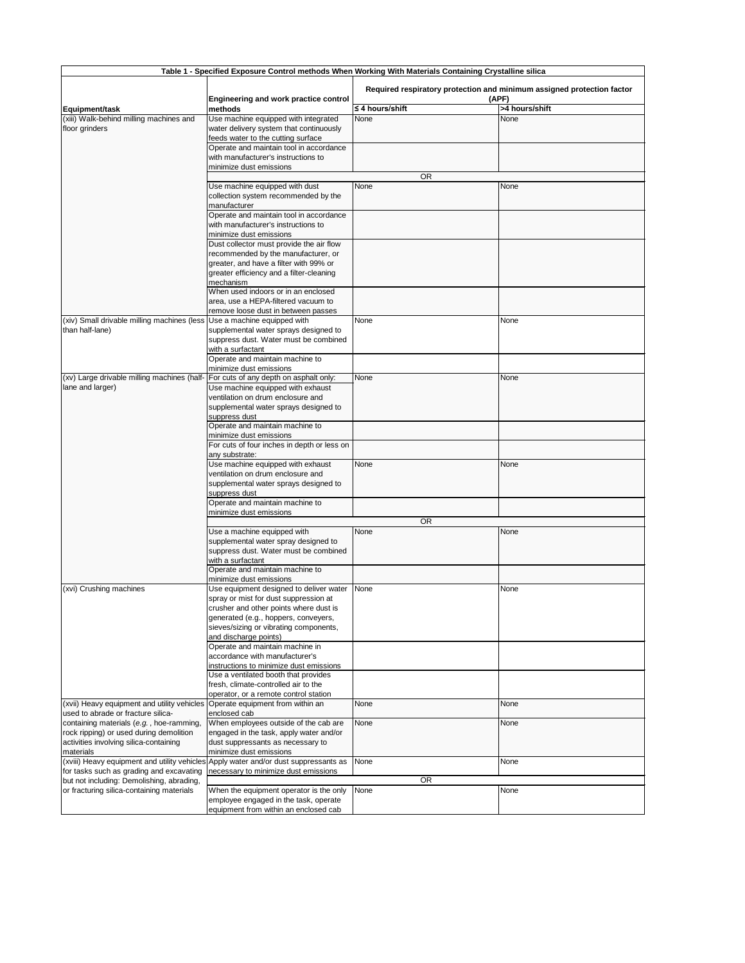| Table 1 - Specified Exposure Control methods When Working With Materials Containing Crystalline silica       |                                                                                        |                                                                                 |                |
|--------------------------------------------------------------------------------------------------------------|----------------------------------------------------------------------------------------|---------------------------------------------------------------------------------|----------------|
|                                                                                                              | <b>Engineering and work practice control</b>                                           | Required respiratory protection and minimum assigned protection factor<br>(APF) |                |
| Equipment/task                                                                                               | methods                                                                                | $\leq$ 4 hours/shift                                                            | >4 hours/shift |
| (xiii) Walk-behind milling machines and                                                                      | Use machine equipped with integrated                                                   | None                                                                            | None           |
| floor grinders                                                                                               | water delivery system that continuously<br>feeds water to the cutting surface          |                                                                                 |                |
|                                                                                                              | Operate and maintain tool in accordance<br>with manufacturer's instructions to         |                                                                                 |                |
|                                                                                                              | minimize dust emissions                                                                | <b>OR</b>                                                                       |                |
|                                                                                                              |                                                                                        |                                                                                 |                |
|                                                                                                              | Use machine equipped with dust<br>collection system recommended by the<br>manufacturer | None                                                                            | None           |
|                                                                                                              | Operate and maintain tool in accordance<br>with manufacturer's instructions to         |                                                                                 |                |
|                                                                                                              | minimize dust emissions                                                                |                                                                                 |                |
|                                                                                                              | Dust collector must provide the air flow<br>recommended by the manufacturer, or        |                                                                                 |                |
|                                                                                                              | greater, and have a filter with 99% or                                                 |                                                                                 |                |
|                                                                                                              | greater efficiency and a filter-cleaning<br>mechanism                                  |                                                                                 |                |
|                                                                                                              | When used indoors or in an enclosed                                                    |                                                                                 |                |
|                                                                                                              | area, use a HEPA-filtered vacuum to<br>remove loose dust in between passes             |                                                                                 |                |
| (xiv) Small drivable milling machines (less Use a machine equipped with                                      |                                                                                        | None                                                                            | None           |
| than half-lane)                                                                                              | supplemental water sprays designed to                                                  |                                                                                 |                |
|                                                                                                              | suppress dust. Water must be combined                                                  |                                                                                 |                |
|                                                                                                              | with a surfactant<br>Operate and maintain machine to                                   |                                                                                 |                |
|                                                                                                              | minimize dust emissions                                                                |                                                                                 |                |
| $(xv)$ Large drivable milling machines (half- $ For cuts of any depth on a sphalt only:$<br>lane and larger) | Use machine equipped with exhaust                                                      | None                                                                            | None           |
|                                                                                                              | ventilation on drum enclosure and                                                      |                                                                                 |                |
|                                                                                                              | supplemental water sprays designed to                                                  |                                                                                 |                |
|                                                                                                              | suppress dust<br>Operate and maintain machine to                                       |                                                                                 |                |
|                                                                                                              | minimize dust emissions                                                                |                                                                                 |                |
|                                                                                                              | For cuts of four inches in depth or less on<br>any substrate:                          |                                                                                 |                |
|                                                                                                              | Use machine equipped with exhaust                                                      | None                                                                            | None           |
|                                                                                                              | ventilation on drum enclosure and<br>supplemental water sprays designed to             |                                                                                 |                |
|                                                                                                              | suppress dust                                                                          |                                                                                 |                |
|                                                                                                              | Operate and maintain machine to<br>minimize dust emissions                             |                                                                                 |                |
|                                                                                                              |                                                                                        | <b>OR</b>                                                                       |                |
|                                                                                                              | Use a machine equipped with                                                            | None                                                                            | None           |
|                                                                                                              | supplemental water spray designed to<br>suppress dust. Water must be combined          |                                                                                 |                |
|                                                                                                              | with a surfactant                                                                      |                                                                                 |                |
|                                                                                                              | Operate and maintain machine to<br>minimize dust emissions                             |                                                                                 |                |
| (xvi) Crushing machines                                                                                      | Use equipment designed to deliver water                                                | None                                                                            | None           |
|                                                                                                              | spray or mist for dust suppression at<br>crusher and other points where dust is        |                                                                                 |                |
|                                                                                                              | generated (e.g., hoppers, conveyers,                                                   |                                                                                 |                |
|                                                                                                              | sieves/sizing or vibrating components,<br>and discharge points)                        |                                                                                 |                |
|                                                                                                              | Operate and maintain machine in                                                        |                                                                                 |                |
|                                                                                                              | accordance with manufacturer's<br>instructions to minimize dust emissions              |                                                                                 |                |
|                                                                                                              | Use a ventilated booth that provides                                                   |                                                                                 |                |
|                                                                                                              | fresh, climate-controlled air to the                                                   |                                                                                 |                |
| $(xvii)$ Heavy equipment and utility vehicles Operate equipment from within an                               | operator, or a remote control station                                                  | None                                                                            | None           |
| used to abrade or fracture silica-                                                                           | enclosed cab                                                                           |                                                                                 |                |
| containing materials (e.g., hoe-ramming,<br>rock ripping) or used during demolition                          | When employees outside of the cab are<br>engaged in the task, apply water and/or       | None                                                                            | None           |
| activities involving silica-containing                                                                       | dust suppressants as necessary to                                                      |                                                                                 |                |
| materials<br>(xviii) Heavy equipment and utility vehicles Apply water and/or dust suppressants as            | minimize dust emissions                                                                | None                                                                            | None           |
| for tasks such as grading and excavating                                                                     | necessary to minimize dust emissions                                                   |                                                                                 |                |
| but not including: Demolishing, abrading,<br>or fracturing silica-containing materials                       | When the equipment operator is the only                                                | <b>OR</b><br>None                                                               | None           |
|                                                                                                              | employee engaged in the task, operate                                                  |                                                                                 |                |
|                                                                                                              | equipment from within an enclosed cab                                                  |                                                                                 |                |